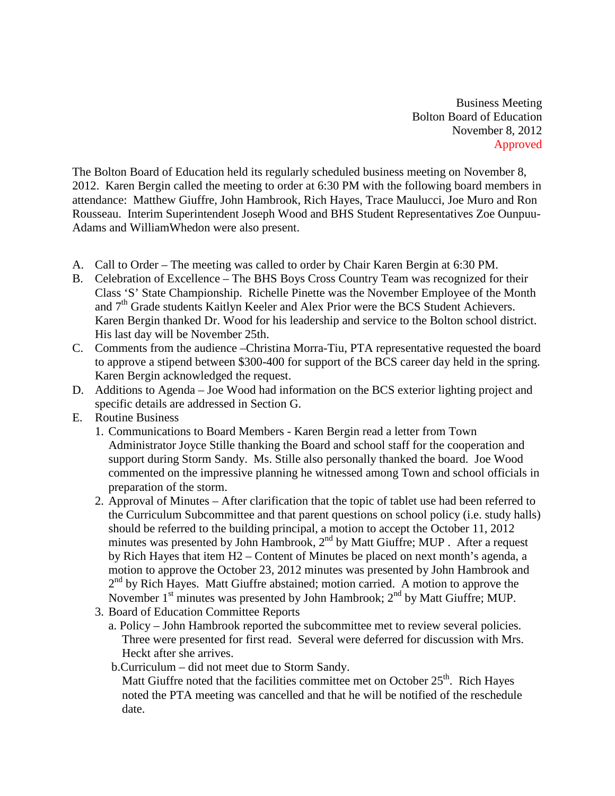Business Meeting Bolton Board of Education November 8, 2012 Approved

The Bolton Board of Education held its regularly scheduled business meeting on November 8, 2012. Karen Bergin called the meeting to order at 6:30 PM with the following board members in attendance: Matthew Giuffre, John Hambrook, Rich Hayes, Trace Maulucci, Joe Muro and Ron Rousseau. Interim Superintendent Joseph Wood and BHS Student Representatives Zoe Ounpuu-Adams and WilliamWhedon were also present.

- A. Call to Order The meeting was called to order by Chair Karen Bergin at 6:30 PM.
- B. Celebration of Excellence The BHS Boys Cross Country Team was recognized for their Class 'S' State Championship. Richelle Pinette was the November Employee of the Month and  $7<sup>th</sup>$  Grade students Kaitlyn Keeler and Alex Prior were the BCS Student Achievers. Karen Bergin thanked Dr. Wood for his leadership and service to the Bolton school district. His last day will be November 25th.
- C. Comments from the audience –Christina Morra-Tiu, PTA representative requested the board to approve a stipend between \$300-400 for support of the BCS career day held in the spring. Karen Bergin acknowledged the request.
- D. Additions to Agenda Joe Wood had information on the BCS exterior lighting project and specific details are addressed in Section G.
- E. Routine Business
	- 1. Communications to Board Members Karen Bergin read a letter from Town Administrator Joyce Stille thanking the Board and school staff for the cooperation and support during Storm Sandy. Ms. Stille also personally thanked the board. Joe Wood commented on the impressive planning he witnessed among Town and school officials in preparation of the storm.
	- 2. Approval of Minutes After clarification that the topic of tablet use had been referred to the Curriculum Subcommittee and that parent questions on school policy (i.e. study halls) should be referred to the building principal, a motion to accept the October 11, 2012 minutes was presented by John Hambrook, 2<sup>nd</sup> by Matt Giuffre; MUP . After a request by Rich Hayes that item H2 – Content of Minutes be placed on next month's agenda, a motion to approve the October 23, 2012 minutes was presented by John Hambrook and  $2<sup>nd</sup>$  by Rich Hayes. Matt Giuffre abstained; motion carried. A motion to approve the November  $1<sup>st</sup>$  minutes was presented by John Hambrook;  $2<sup>nd</sup>$  by Matt Giuffre; MUP.
	- 3. Board of Education Committee Reports
		- a. Policy John Hambrook reported the subcommittee met to review several policies. Three were presented for first read. Several were deferred for discussion with Mrs. Heckt after she arrives.
		- b.Curriculum did not meet due to Storm Sandy.

Matt Giuffre noted that the facilities committee met on October  $25<sup>th</sup>$ . Rich Hayes noted the PTA meeting was cancelled and that he will be notified of the reschedule date.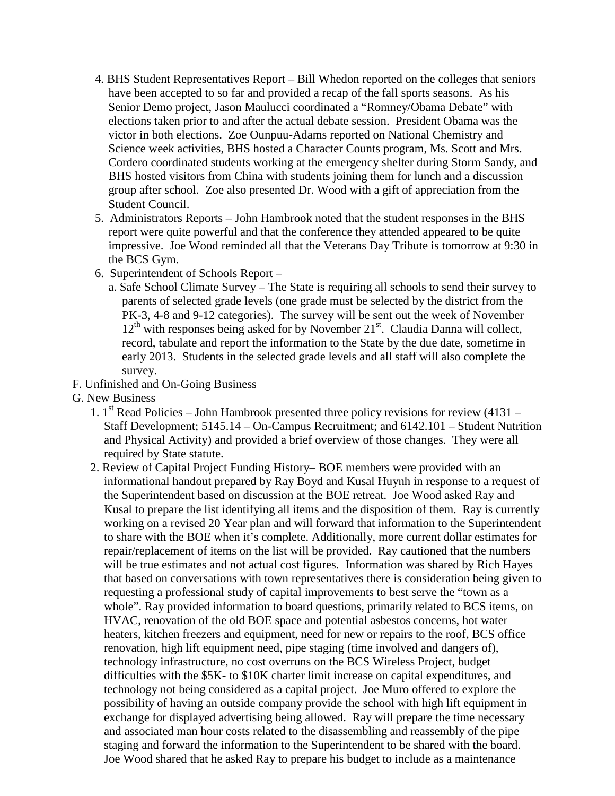- 4. BHS Student Representatives Report Bill Whedon reported on the colleges that seniors have been accepted to so far and provided a recap of the fall sports seasons. As his Senior Demo project, Jason Maulucci coordinated a "Romney/Obama Debate" with elections taken prior to and after the actual debate session. President Obama was the victor in both elections. Zoe Ounpuu-Adams reported on National Chemistry and Science week activities, BHS hosted a Character Counts program, Ms. Scott and Mrs. Cordero coordinated students working at the emergency shelter during Storm Sandy, and BHS hosted visitors from China with students joining them for lunch and a discussion group after school. Zoe also presented Dr. Wood with a gift of appreciation from the Student Council.
- 5. Administrators Reports John Hambrook noted that the student responses in the BHS report were quite powerful and that the conference they attended appeared to be quite impressive. Joe Wood reminded all that the Veterans Day Tribute is tomorrow at 9:30 in the BCS Gym.
- 6. Superintendent of Schools Report
	- a. Safe School Climate Survey The State is requiring all schools to send their survey to parents of selected grade levels (one grade must be selected by the district from the PK-3, 4-8 and 9-12 categories). The survey will be sent out the week of November  $12<sup>th</sup>$  with responses being asked for by November  $21<sup>st</sup>$ . Claudia Danna will collect, record, tabulate and report the information to the State by the due date, sometime in early 2013. Students in the selected grade levels and all staff will also complete the survey.
- F. Unfinished and On-Going Business
- G. New Business
	- 1.  $1<sup>st</sup>$  Read Policies John Hambrook presented three policy revisions for review (4131 Staff Development; 5145.14 – On-Campus Recruitment; and 6142.101 – Student Nutrition and Physical Activity) and provided a brief overview of those changes. They were all required by State statute.
	- 2. Review of Capital Project Funding History– BOE members were provided with an informational handout prepared by Ray Boyd and Kusal Huynh in response to a request of the Superintendent based on discussion at the BOE retreat. Joe Wood asked Ray and Kusal to prepare the list identifying all items and the disposition of them. Ray is currently working on a revised 20 Year plan and will forward that information to the Superintendent to share with the BOE when it's complete. Additionally, more current dollar estimates for repair/replacement of items on the list will be provided. Ray cautioned that the numbers will be true estimates and not actual cost figures. Information was shared by Rich Hayes that based on conversations with town representatives there is consideration being given to requesting a professional study of capital improvements to best serve the "town as a whole". Ray provided information to board questions, primarily related to BCS items, on HVAC, renovation of the old BOE space and potential asbestos concerns, hot water heaters, kitchen freezers and equipment, need for new or repairs to the roof, BCS office renovation, high lift equipment need, pipe staging (time involved and dangers of), technology infrastructure, no cost overruns on the BCS Wireless Project, budget difficulties with the \$5K- to \$10K charter limit increase on capital expenditures, and technology not being considered as a capital project. Joe Muro offered to explore the possibility of having an outside company provide the school with high lift equipment in exchange for displayed advertising being allowed. Ray will prepare the time necessary and associated man hour costs related to the disassembling and reassembly of the pipe staging and forward the information to the Superintendent to be shared with the board. Joe Wood shared that he asked Ray to prepare his budget to include as a maintenance